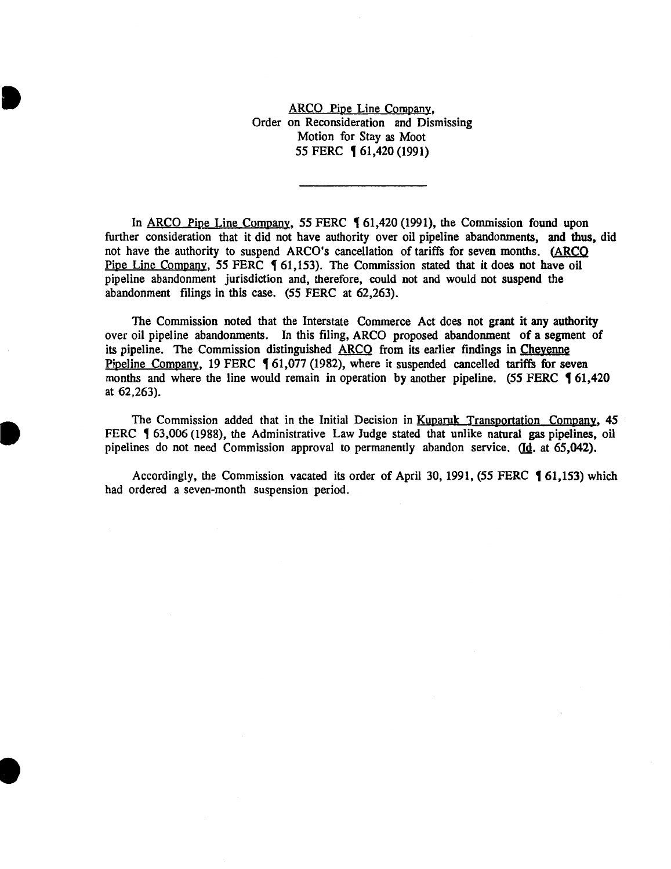ARCO Pipe Line Company, Order on Reconsideration and Dismissing Motion for Stay as Moot 55 FERC **[61,420 (1991)** 

**•** 

**•** 

I

In ARCO Pipe Line Company, 55 FERC  $\lbrace 61,420 \ (1991) \rbrace$ , the Commission found upon further consideration that it did not have authority over oil pipeline abandonments, and thus, did not have the authority to suspend ARCO's cancellation of tariffs for seven months. (ARCO Pipe Line Company, 55 FERC 1 61,153). The Commission stated that it does not have oil pipeline abandonment jurisdiction and, therefore, could not and would not suspend the abandonment filings in this case. (55 FERC at 62,263).

The Commission noted that the Interstate Commerce Act does not grant it any authority over oil pipeline abandonments. In this filing, ARCO proposed abandonment of a segment of its pipeline. The Commission distinguished ARCO from its earlier findings in Chevenne Pipeline Company, 19 FERC 161,077 (1982), where it suspended cancelled tariffs for seven months and where the line would remain in operation by another pipeline.  $(55$  FERC  $\frac{61,420}{2}$ at 62,263).

The Commission added that in the Initial Decision in Kuparuk Transportation Company, 45 FERC  $\sqrt{63,006}$  (1988), the Administrative Law Judge stated that unlike natural gas pipelines, oil pipelines do not need Commission approval to permanently abandon service. (Id. at 65,042).

Accordingly, the Commission vacated its order of April 30, 1991, (55 FERC  $\blacklozenge$  61,153) which had ordered a seven-month suspension period.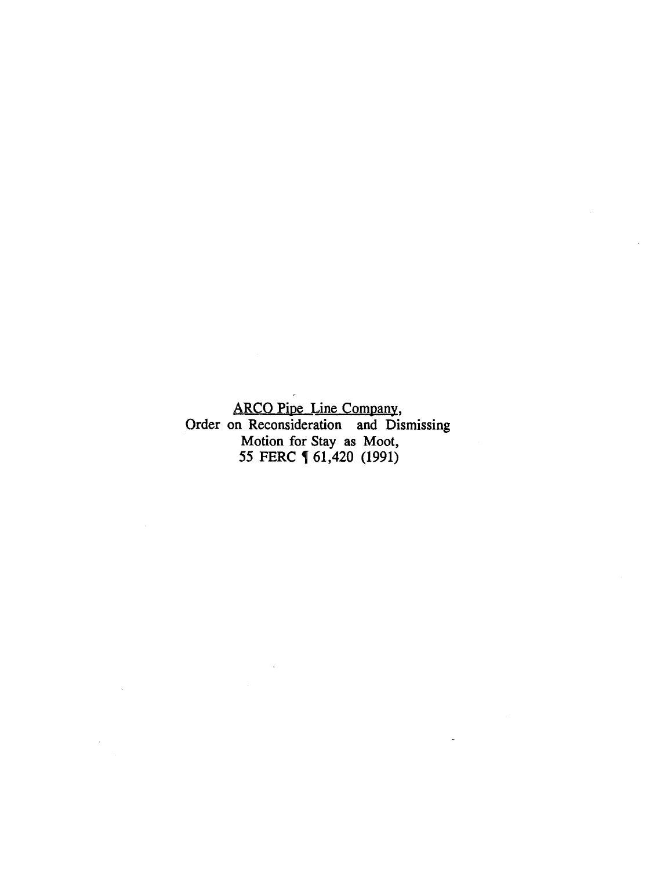ARCO Pipe Line Company, Order on Reconsideration and Dismissing Motion for Stay as Moot, *55* FERC , 61,420 (1991)

 $\bar{z}$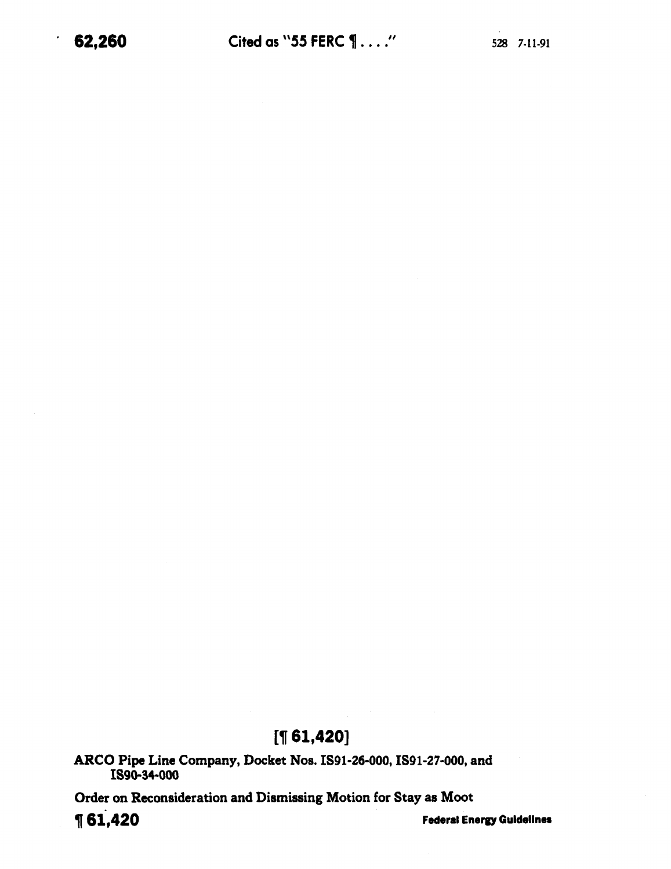# **[1[ 61,420]**

ARCO Pipe Line Company, Docket Nos. IS91-26-000, IS91-27-000, and IS90.34-000

Order on Reconsideration and Dismissing Motion for Stay as Moot

**1** 61,420 *Federal Energy Guidelines*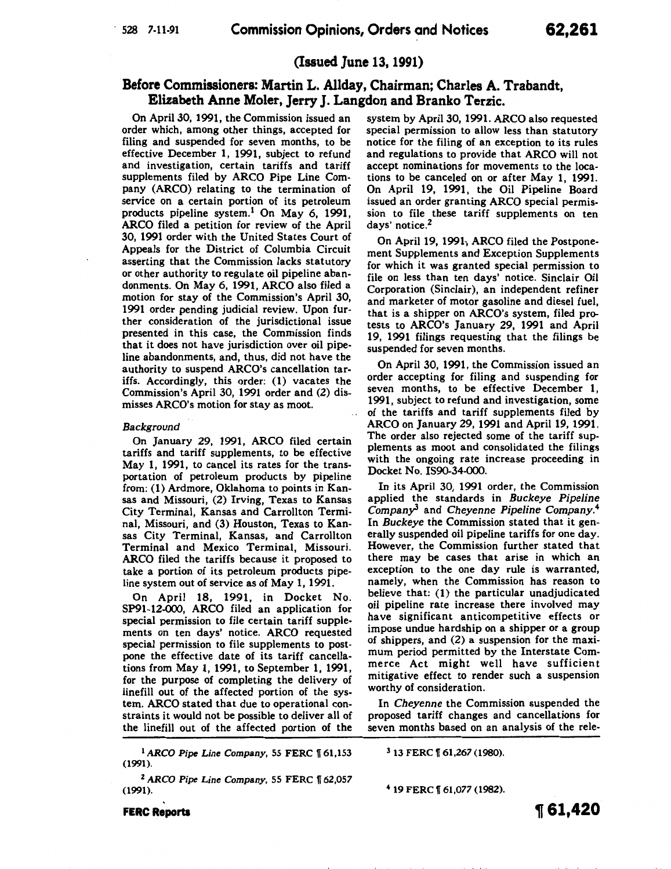# **(Issued June 13, 1991)**

# **Before Commissioners: Martin L. Allday, Chairman; Charles A. Trabandt, Elizabeth Anne Moler, Jerry J. Langdon and Branko Terzic.**

On April30, 1991, the Commission issued an order which, among other things, accepted for filing and suspended for seven months, to be effective December 1, 1991, subject to refund and investigation, certain tariffs and tariff supplements filed by ARCO Pipe Line Company (ARCO) relating to the termination of service on a certain portion of its petroleum products pipeline system.<sup>1</sup> On May 6, 1991, ARCO filed a petition for review of the April 30, 1991 order with the United States Court of Appeals for the District of Columbia Circuit asserting that the Commission lacks statutory or other authority to regulate oil pipeline abandonments. On May 6, 1991, ARCO also filed a motion for stay of the Commission's April 30, 1991 order pending judicial review. Upon further consideration of the jurisdictional issue presented in this case, the Commission finds that it does not have jurisdiction over oil pipeline abandonments, and, thus, did not have the authority to suspend ARCO's cancellation tariffs. Accordingly, this order: (1) vacates the Commission's April 30, 1991 order and (2) dismisses ARCO's motion for stay as moot.

### *Background*

On January 29, 1991, ARCO filed certain tariffs and tariff supplements, to be effective May 1, 1991, to cancel its rates for the transportation of petroleum products by pipeline from: (1) Ardmore, Oklahoma to points in Kansas and Missouri, (2) Irving, Texas to Kansas City Terminal, Kansas and Carrollton Terminal, Missouri, and (3) Houston, Texas to Kansas City Terminal, Kansas, and Carrollton Terminal and Mexico Terminal, Missouri. ARCO filed the tariffs because it proposed to take a portion of its petroleum products pipeline system out of service as of May 1, 1991.

On April 18, 1991, in Docket No. SP91-12-000, ARCO filed an application for special permission to file certain tariff supplements on ten days' notice. ARCO requested special permission to file supplements to postpone the effective date of its tariff cancellations from May 1, 1991, to September 1, 1991, for the purpose of completing the delivery of linefill out of the affected portion of the system. ARCO stated that due to operational constraints it would not be possible to deliver all of the linefill out of the affected portion of the

<sup>1</sup> ARCO Pipe Line Company, 55 FERC 161,153 (1991).

<sup>2</sup> ARCO Pipe Line Company, 55 FERC 162,057 (1991).

system by April30, 1991. ARCO also requested special permission to allow less than statutory notice for the filing of an exception to its rules and regulations to provide that ARCO will not accept nominations for movements to the locations to be canceled on or after May 1, 1991. On April 19, 1991, the Oil Pipeline Board issued an order granting ARCO special permission to file these tariff supplements on ten days' notice.<sup>2</sup>

On April 19, 1991; ARCO filed the Postponement Supplements and Exception Supplements for which it was granted special permission to file on less than ten days' notice. Sinclair Oil Corporation (Sinclair), an independent refiner and marketer of motor gasoline and diesel fuel, that is a shipper on ARCO's system, filed protests to ARCO's January 29, 1991 and April 19, 1991 filings requesting that the filings be suspended for seven months.

On April 30, 1991, the Commission issued an order accepting for filing and suspending for seven months, to be effective December 1, 1991, subject to refund and investigation, some of the tariffs and tariff supplements filed by ARCO on January 29, 1991 and April 19, 1991. The order also rejected some of the tariff supplements as moot and consolidated the filings with the ongoing rate increase proceeding in Docket No. IS90-34-000.

In its April 30, 1991 order, the Commission applied the standards in *Buckeye Pipeline Companyl* and *Cheyenne Pipeline* Company.<sup>4</sup> In *Buckeye* the Commission stated that it generally suspended oil pipeline tariffs for one day. However, the Commission further stated that there may be cases that arise in which an exception to the one day rule is warranted, namely, when the Commission has reason to believe that: (1) the particular unadjudicated oil pipeline rate increase there involved may have significant anticompetitive effects or impose undue hardship on a shipper or a group of shippers, and (2) a suspension for the maximum period permitted by the Interstate Commerce Act might well have sufficient mitigative effect to render such a suspension worthy of consideration.

In *Cheyenne* the Commission suspended the proposed tariff changes and cancellations for seven months based on an analysis of the rele-

 $3$  13 FERC  $\sqrt{ }$  61,267 (1980).

4 19 FERC 1[ 61,077 (1982).

**FERC Reports** 

~ **61,420**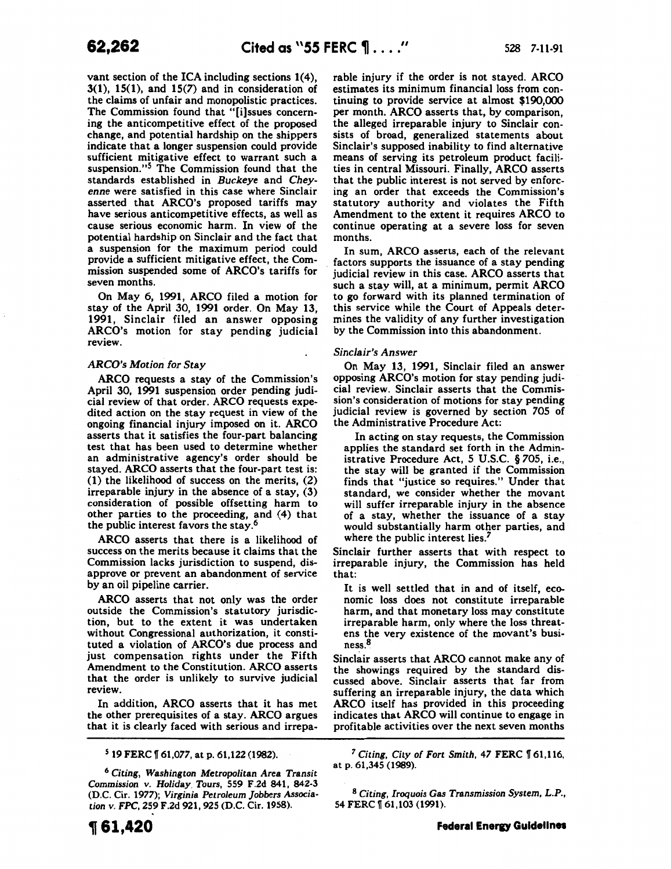vant section of the ICA including sections 1(4),  $3(1)$ ,  $15(1)$ , and  $15(7)$  and in consideration of the claims of unfair and monopolistic practices. The Commission found that "[i]ssues concerning the anticompetitive effect of the proposed change, and potential hardship on the shippers indicate that a longer suspension could provide sufficient mitigative effect to warrant such a suspension."<sup>5</sup> The Commission found that the standards established in *Buckeye* and *Cheyenne* were satisfied in this case where Sinclair asserted that ARCO's proposed tariffs may have serious anticompetitive effects, as well as cause serious economic harm. In view of the potential hardship on Sinclair and the fact that a suspension for the maximum period could provide a sufficient mitigative effect, the Commission suspended some of ARCO's tariffs for seven months.

On May 6, 1991, ARCO filed a motion for stay of the April 30, 1991 order. On May 13, 1991, Sinclair filed an answer opposing ARCO's motion for stay pending judicial review.

## *ARCO's Motion for Stay*

ARCO requests a stay of the Commission's April 30, 1991 suspension order pending judicial review of that order. ARCO requests expedited action on the stay request in view of the ongoing financial injury imposed on it. ARCO asserts that it satisfies the four-part balancing test that has been used to determine whether an administrative agency's order should be stayed. ARCO asserts that the four-part test is: (1) the likelihood of success on the merits, (2) irreparable injury in the absence of a stay, (3) consideration of possible offsetting harm to other parties to the proceeding, and (4) that the public interest favors the stay.6

ARCO asserts that there is a likelihood of success on the merits because it claims that the Commission lacks jurisdiction to suspend, disapprove or prevent an abandonment of service by an oil pipeline carrier.

ARCO asserts that not only was the order outside the Commission's statutory jurisdiction, but to the extent it was undertaken without Congressional authorization, it constituted a violation of ARCO's due process and just compensation rights under the Fifth Amendment to the Constitution. ARCO asserts that the order is unlikely to survive judicial review.

In addition, ARCO asserts that it has met the other prerequisites of a stay. ARCO argues that it is clearly faced with serious and irrepa-

5 19 FERC ff 61,077, at p. 61,122 (1982).

rable injury if the order is not stayed. ARCO estimates its minimum financial loss from continuing to provide service at almost  $$190,000$ per month. ARCO asserts that, by comparison, the alleged irreparable injury to Sinclair consists of broad, generalized statements about Sinclair's supposed inability to find alternative means of serving its petroleum product facilities in central Missouri. Finally, ARCO asserts that the public interest is not served by enforcing an order that exceeds the Commission's statutory authority and violates the Fifth Amendment to the extent it requires ARCO to continue operating at a severe loss for seven months.

In sum, ARCO asserts, each of the relevant factors supports the issuance of a stay pending judicial review in this case. ARCO asserts that such a stay will, at a minimum, permit ARCO to go forward with its planned termination of this service while the Court of Appeals deter· mines the validity of any further investigation by the Commission into this abandonment.

### *Sinclair's Answer*

On May 13, 1991, Sinclair filed an answer opposing ARCO's motion for stay pending judicial review. Sinclair asserts that the Commission's consideration of motions for stay pending judicial review is governed by section *705* of the Administrative Procedure Act:

In acting on stay requests, the Commission applies the standard set forth in the Administrative Procedure Act, *5* U.S.C. § *705,* i.e., the stay will be granted if the Commission finds that "justice so requires." Under that standard, we consider whether the movant will suffer irreparable injury in the absence of a stay, whether the issuance of a stay would substantially harm other parties, and where the public interest lies.<sup>2</sup>

Sinclair further asserts that with respect to irreparable injury, the Commission has held that:

It is well settled that in and of itself, economic loss does not constitute irreparable harm, and that monetary loss may constitute irreparable harm, only where the loss threatens the very existence of the movant's business.8

Sinclair asserts that ARCO cannot make any of the showings required by the standard discussed above. Sinclair asserts that far from suffering an irreparable injury, the data which ARCO itself has provided in this proceeding indicates that ARCO will continue to engage in profitable activities over the next seven months

<sup>6</sup> Citing, *Washington Metropolitan Area Transit Commission v. Holiday Tours,* 559 F.2d 841, 842-3 (D.C. Cir. 1977); *Virginia Petroleum Jobbers Association v. FPC,* 259 F.2d 921,925 (D.C. Cir. 1958).

<sup>&</sup>lt;sup>7</sup> Citing, City of Fort Smith, 47 FERC 161,116, at p. 61,345 (1989).

<sup>8</sup> *Citing, Iroquois* Gas *Transmission System, L.P.,*  54 FERC ff 61,103 (1991).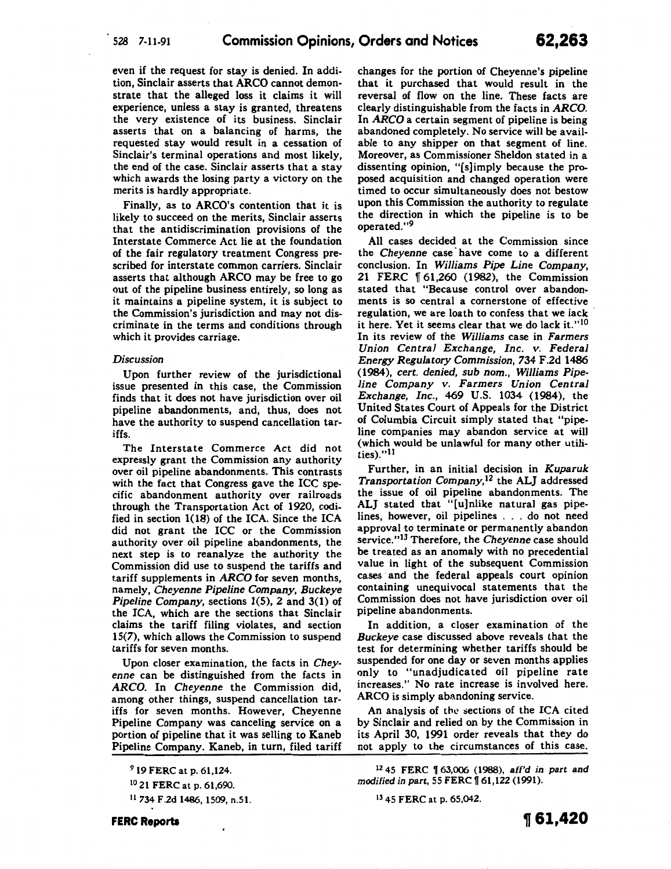even if the request for stay is denied. In addition, Sinclair asserts that ARCO cannot demonstrate that the alleged loss it claims it will experience, unless a stay is granted, threatens the very existence of its business. Sinclair asserts that on a balancing of harms, the requested stay would result in a cessation of Sinclair's terminal operations and most likely, the end of the case. Sinclair asserts that a stay which awards the losing party a victory on the merits is hardly appropriate.

Finally, as to ARCO's contention that it is likely to succeed on the merits, Sinclair asserts that the antidiscrimination provisions of the Interstate Commerce Act lie at the foundation of the fair regulatory treatment Congress prescribed for interstate common carriers. Sinclair asserts that although ARCO may be free to go out of the pipeline business entirely, so long as it maintains a pipeline system, it is subject to the Commission's jurisdiction and may not discriminate in the terms and conditions through which it provides carriage.

#### *Discussion*

Upon further review of the jurisdictional issue presented in this case, the Commission finds that it does not have jurisdiction over oil pipeline abandonments, and, thus, does not have the authority to suspend cancellation tariffs.

The Interstate Commerce Act did not expressly grant the Commission any authority over oil pipeline abandonments. This contrasts with the fact that Congress gave the ICC specific abandonment authority over railroads through the Transportation Act of 1920, codified in section 1(18) of the ICA. Since the ICA did not grant the ICC or the Commission authority over oil pipeline abandonments, the next step is to reanalyze the authority the Commission did use to suspend the tariffs and tariff supplements in *ARCO* for seven months, namely, *Cheyenne Pipeline Company, Buckeye Pipeline Company,* sections 1(5), 2 and 3(1) of the ICA, which are the sections that Sinclair claims the tariff filing violates, and section 15(7), which allows the Commission to suspend tariffs for seven months.

Upon closer examination, the facts in *Cheyenne* can be distinguished from the facts in *ARCO.* In *Cheyenne* the Commission did, among other things, suspend cancellation tariffs for seven months. However, Cheyenne Pipeline Company was canceling service on a portion of pipeline that it was selling to Kaneb Pipeline Company. Kaneb, in turn, filed tariff

II 734 F.2d 1486, 1509, n.51.

changes for the portion of Cheyenne's pipeline that it purchased that would result in the reversal of flow on the line. These facts are clearly distinguishable from the facts in *ARCO.*  In *ARCO* a certain segment of pipeline is being abandoned completely. No service will be available to any shipper on that segment of line. Moreover, as Commissioner Sheldon stated in a dissenting opinion, "[s]imply because the proposed acquisition and changed operation were timed to occur simultaneously does not bestow upon this Commission the authority to regulate the direction in which the pipeline is to be operated."<sup>9</sup>

All cases decided at the Commission since the *Cheyenne* case· have come to a different conclusion. In *Williams Pipe Line Company,*  21 FERC ff 61,260 (1982), the Commission stated that "Because control over abandonments is so central a cornerstone of effective regulation, we are loath to confess that we lack it here. Yet it seems clear that we do lack it."<sup>10</sup> In its review of the *Williams* case in *Farmers Union Central Exchange, Inc. v. Federal Energy Regulatory Commission,* 734 F.2d 1486 (1984), *cert. denied, sub nom., Williams Pipeline Company v. Farmers Union Central Exchange, Inc.,* 469 U.S. 1034 (1984), the United States Court of Appeals for the District of Columbia Circuit simply stated that "pipeline companies may abandon service at will (which would be unlawful for many other utilities)."11

Further, in an initial decision in *Kuparuk Transportation Company,12* the ALJ addressed the issue of oil pipeline abandonments. The ALJ stated that "[u]nlike natural gas pipelines, however, oil pipelines ... do not need approval to terminate or permanently abandon service."13 Therefore, the *Cheyenne* case should be treated as an anomaly with no precedential value in light of the subsequent Commission cases and the federal appeals court opinion containing unequivocal statements that the Commission does not have jurisdiction over oil pipeline abandonments.

In addition, a closer examination of the *Buckeye* case discussed above reveals that the test for determining whether tariffs should be suspended for one day or seven months applies only to "unadjudicated oil pipeline rate increases." No rate increase is involved here. ARCO is simply abandoning service.

An analysis of the sections of the ICA cited by Sinclair and relied on by the Commission in its April 30, 1991 order reveals that they do not apply to the circumstances of this case.

13 45 FERC at p. 65,042.

<sup>9 19</sup> FERC at p. 61,124.

<sup>&</sup>lt;sup>10</sup> 21 FERC at p. 61,690.

<sup>12 45</sup> FERC ff 63,006 (1988), aff'd in part and modified in part, 55 FERC  $\llbracket 61,122$  (1991).